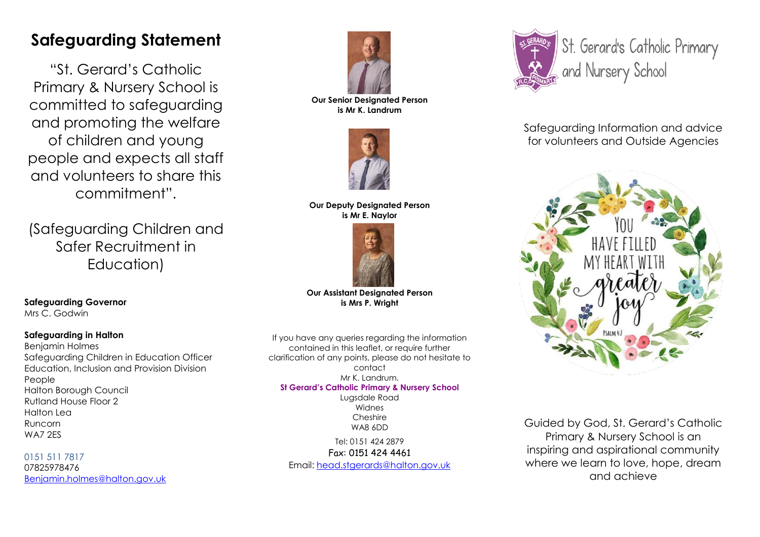# **Safeguarding Statement**

"St. Gerard's Catholic Primary & Nursery School is committed to safeguarding and promoting the welfare of children and young people and expects all staff and volunteers to share this commitment".

(Safeguarding Children and Safer Recruitment in Education)

**Our Senior Designated Person is Mr K. Landrum**



## **Our Deputy Designated Person is Mr E. Naylor**



**Our Assistant Designated Person is Mrs P. Wright**

**Safeguarding Governor**  Mrs C. Godwin

# **Safeguarding in Halton**

Benjamin Holmes Safeguarding Children in Education Officer Education, Inclusion and Provision Division People Halton Borough Council Rutland House Floor 2 Halton Lea Runcorn WA7 2ES

0151 511 7817 07825978476 [Benjamin.holmes@halton.gov.uk](mailto:Benjamin.holmes@halton.gov.uk)

If you have any queries regarding the information contained in this leaflet, or require further clarification of any points, please do not hesitate to contact Mr K. Landrum. **St Gerard's Catholic Primary & Nursery School** Lugsdale Road Widnes

Cheshire WA8 6DD

Tel: 0151 424 2879 Fax: 0151 424 4461

Email: [head.stgerards@halton.gov.uk](mailto:head.stgerards@halton.gov.uk)



Safeguarding Information and advice for volunteers and Outside Agencies



Guided by God, St. Gerard's Catholic Primary & Nursery School is an inspiring and aspirational community where we learn to love, hope, dream and achieve